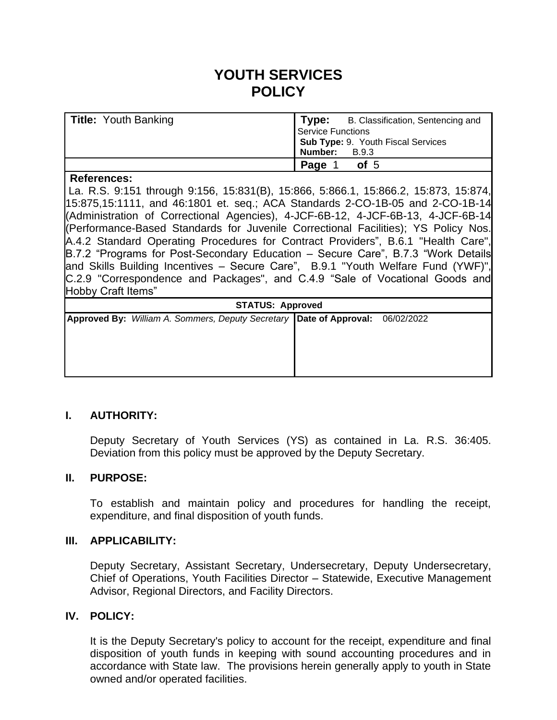# **YOUTH SERVICES POLICY**

| <b>Title: Youth Banking</b> | <b>Type:</b> B. Classification, Sentencing and |  |  |
|-----------------------------|------------------------------------------------|--|--|
|                             | Service Functions                              |  |  |
|                             | Sub Type: 9. Youth Fiscal Services             |  |  |
|                             | Number:<br>B.9.3                               |  |  |
|                             | Page 1<br>of <sub>5</sub>                      |  |  |

#### **References:**

La. R.S. 9:151 through 9:156, 15:831(B), 15:866, 5:866.1, 15:866.2, 15:873, 15:874, 15:875,15:1111, and 46:1801 et. seq.; ACA Standards 2-CO-1B-05 and 2-CO-1B-14 (Administration of Correctional Agencies), 4-JCF-6B-12, 4-JCF-6B-13, 4-JCF-6B-14 (Performance-Based Standards for Juvenile Correctional Facilities); YS Policy Nos. A.4.2 Standard Operating Procedures for Contract Providers", B.6.1 "Health Care", B.7.2 "Programs for Post-Secondary Education – Secure Care", B.7.3 "Work Details and Skills Building Incentives – Secure Care", B.9.1 "Youth Welfare Fund (YWF)", C.2.9 "Correspondence and Packages", and C.4.9 "Sale of Vocational Goods and Hobby Craft Items"

| <b>STATUS: Approved</b> |  |  |  |  |                                                                                  |  |  |  |
|-------------------------|--|--|--|--|----------------------------------------------------------------------------------|--|--|--|
|                         |  |  |  |  | Approved By: William A. Sommers, Deputy Secretary   Date of Approval: 06/02/2022 |  |  |  |
|                         |  |  |  |  |                                                                                  |  |  |  |
|                         |  |  |  |  |                                                                                  |  |  |  |
|                         |  |  |  |  |                                                                                  |  |  |  |
|                         |  |  |  |  |                                                                                  |  |  |  |

# **I. AUTHORITY:**

Deputy Secretary of Youth Services (YS) as contained in La. R.S. 36:405. Deviation from this policy must be approved by the Deputy Secretary.

#### **II. PURPOSE:**

To establish and maintain policy and procedures for handling the receipt, expenditure, and final disposition of youth funds.

#### **III. APPLICABILITY:**

Deputy Secretary, Assistant Secretary, Undersecretary, Deputy Undersecretary, Chief of Operations, Youth Facilities Director – Statewide, Executive Management Advisor, Regional Directors, and Facility Directors.

# **IV. POLICY:**

It is the Deputy Secretary's policy to account for the receipt, expenditure and final disposition of youth funds in keeping with sound accounting procedures and in accordance with State law. The provisions herein generally apply to youth in State owned and/or operated facilities.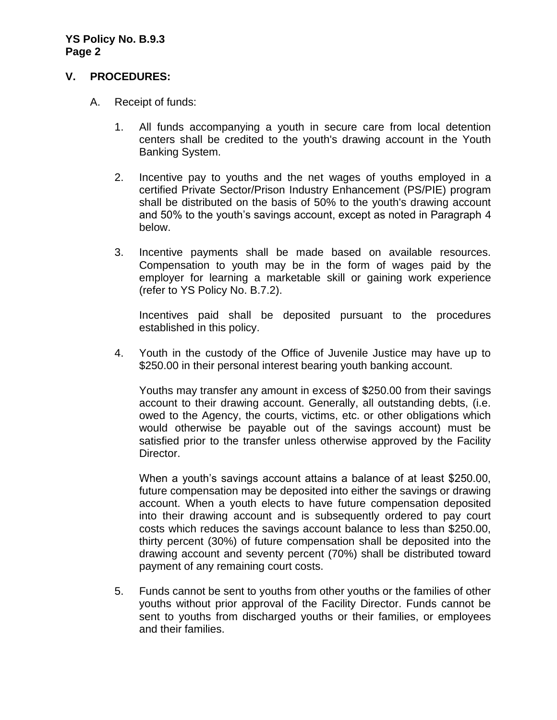## **V. PROCEDURES:**

- A. Receipt of funds:
	- 1. All funds accompanying a youth in secure care from local detention centers shall be credited to the youth's drawing account in the Youth Banking System.
	- 2. Incentive pay to youths and the net wages of youths employed in a certified Private Sector/Prison Industry Enhancement (PS/PIE) program shall be distributed on the basis of 50% to the youth's drawing account and 50% to the youth's savings account, except as noted in Paragraph 4 below.
	- 3. Incentive payments shall be made based on available resources. Compensation to youth may be in the form of wages paid by the employer for learning a marketable skill or gaining work experience (refer to YS Policy No. B.7.2).

Incentives paid shall be deposited pursuant to the procedures established in this policy.

4. Youth in the custody of the Office of Juvenile Justice may have up to \$250.00 in their personal interest bearing youth banking account.

Youths may transfer any amount in excess of \$250.00 from their savings account to their drawing account. Generally, all outstanding debts, (i.e. owed to the Agency, the courts, victims, etc. or other obligations which would otherwise be payable out of the savings account) must be satisfied prior to the transfer unless otherwise approved by the Facility Director.

When a youth's savings account attains a balance of at least \$250.00, future compensation may be deposited into either the savings or drawing account. When a youth elects to have future compensation deposited into their drawing account and is subsequently ordered to pay court costs which reduces the savings account balance to less than \$250.00, thirty percent (30%) of future compensation shall be deposited into the drawing account and seventy percent (70%) shall be distributed toward payment of any remaining court costs.

5. Funds cannot be sent to youths from other youths or the families of other youths without prior approval of the Facility Director. Funds cannot be sent to youths from discharged youths or their families, or employees and their families.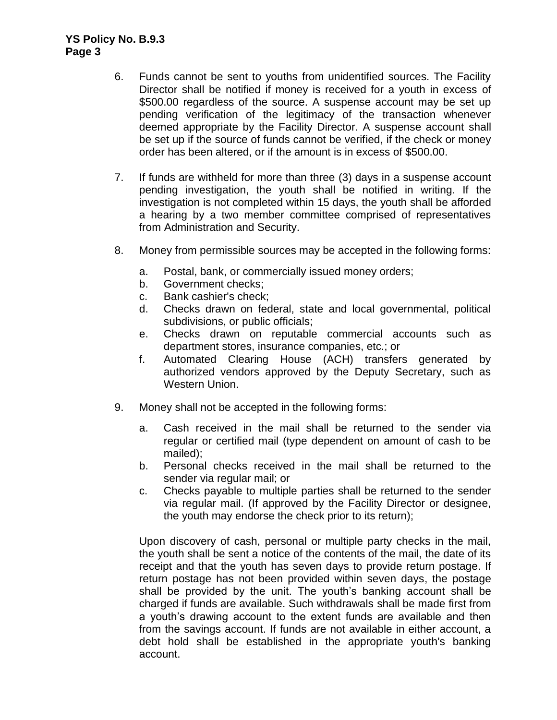- 6. Funds cannot be sent to youths from unidentified sources. The Facility Director shall be notified if money is received for a youth in excess of \$500.00 regardless of the source. A suspense account may be set up pending verification of the legitimacy of the transaction whenever deemed appropriate by the Facility Director. A suspense account shall be set up if the source of funds cannot be verified, if the check or money order has been altered, or if the amount is in excess of \$500.00.
- 7. If funds are withheld for more than three (3) days in a suspense account pending investigation, the youth shall be notified in writing. If the investigation is not completed within 15 days, the youth shall be afforded a hearing by a two member committee comprised of representatives from Administration and Security.
- 8. Money from permissible sources may be accepted in the following forms:
	- a. Postal, bank, or commercially issued money orders;
	- b. Government checks;
	- c. Bank cashier's check;
	- d. Checks drawn on federal, state and local governmental, political subdivisions, or public officials;
	- e. Checks drawn on reputable commercial accounts such as department stores, insurance companies, etc.; or
	- f. Automated Clearing House (ACH) transfers generated by authorized vendors approved by the Deputy Secretary, such as Western Union.
- 9. Money shall not be accepted in the following forms:
	- a. Cash received in the mail shall be returned to the sender via regular or certified mail (type dependent on amount of cash to be mailed);
	- b. Personal checks received in the mail shall be returned to the sender via regular mail; or
	- c. Checks payable to multiple parties shall be returned to the sender via regular mail. (If approved by the Facility Director or designee, the youth may endorse the check prior to its return);

Upon discovery of cash, personal or multiple party checks in the mail, the youth shall be sent a notice of the contents of the mail, the date of its receipt and that the youth has seven days to provide return postage. If return postage has not been provided within seven days, the postage shall be provided by the unit. The youth's banking account shall be charged if funds are available. Such withdrawals shall be made first from a youth's drawing account to the extent funds are available and then from the savings account. If funds are not available in either account, a debt hold shall be established in the appropriate youth's banking account.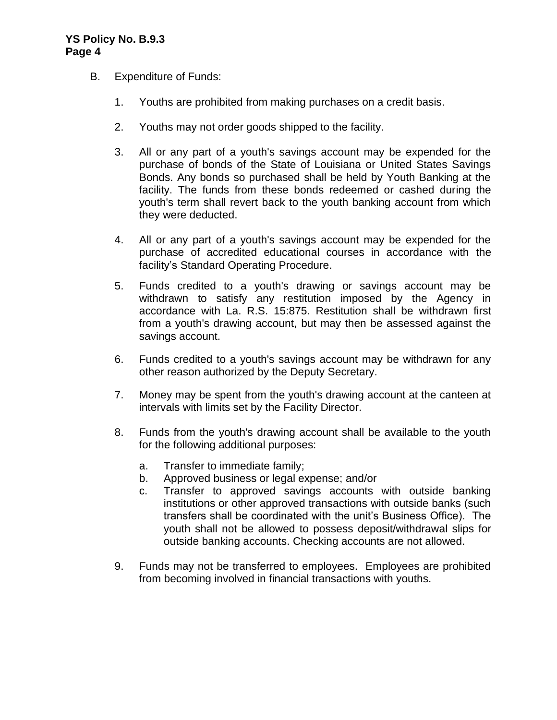### **YS Policy No. B.9.3 Page 4**

- B. Expenditure of Funds:
	- 1. Youths are prohibited from making purchases on a credit basis.
	- 2. Youths may not order goods shipped to the facility.
	- 3. All or any part of a youth's savings account may be expended for the purchase of bonds of the State of Louisiana or United States Savings Bonds. Any bonds so purchased shall be held by Youth Banking at the facility. The funds from these bonds redeemed or cashed during the youth's term shall revert back to the youth banking account from which they were deducted.
	- 4. All or any part of a youth's savings account may be expended for the purchase of accredited educational courses in accordance with the facility's Standard Operating Procedure.
	- 5. Funds credited to a youth's drawing or savings account may be withdrawn to satisfy any restitution imposed by the Agency in accordance with La. R.S. 15:875. Restitution shall be withdrawn first from a youth's drawing account, but may then be assessed against the savings account.
	- 6. Funds credited to a youth's savings account may be withdrawn for any other reason authorized by the Deputy Secretary.
	- 7. Money may be spent from the youth's drawing account at the canteen at intervals with limits set by the Facility Director.
	- 8. Funds from the youth's drawing account shall be available to the youth for the following additional purposes:
		- a. Transfer to immediate family;
		- b. Approved business or legal expense; and/or
		- c. Transfer to approved savings accounts with outside banking institutions or other approved transactions with outside banks (such transfers shall be coordinated with the unit's Business Office). The youth shall not be allowed to possess deposit/withdrawal slips for outside banking accounts. Checking accounts are not allowed.
	- 9. Funds may not be transferred to employees. Employees are prohibited from becoming involved in financial transactions with youths.